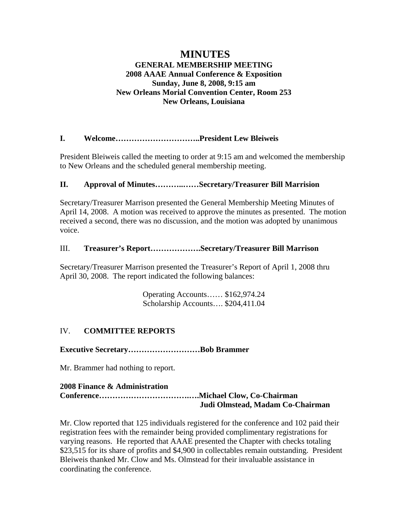# **MINUTES GENERAL MEMBERSHIP MEETING 2008 AAAE Annual Conference & Exposition Sunday, June 8, 2008, 9:15 am New Orleans Morial Convention Center, Room 253 New Orleans, Louisiana**

# **I. Welcome…………………………..President Lew Bleiweis**

President Bleiweis called the meeting to order at 9:15 am and welcomed the membership to New Orleans and the scheduled general membership meeting.

# **II. Approval of Minutes………..……Secretary/Treasurer Bill Marrision**

Secretary/Treasurer Marrison presented the General Membership Meeting Minutes of April 14, 2008. A motion was received to approve the minutes as presented. The motion received a second, there was no discussion, and the motion was adopted by unanimous voice.

## III. **Treasurer's Report……………….Secretary/Treasurer Bill Marrison**

Secretary/Treasurer Marrison presented the Treasurer's Report of April 1, 2008 thru April 30, 2008. The report indicated the following balances:

> Operating Accounts…… \$162,974.24 Scholarship Accounts…. \$204,411.04

# IV. **COMMITTEE REPORTS**

**Executive Secretary………………………Bob Brammer** 

Mr. Brammer had nothing to report.

## **2008 Finance & Administration**

## **Conference…………………………….….Michael Clow, Co-Chairman Judi Olmstead, Madam Co-Chairman**

Mr. Clow reported that 125 individuals registered for the conference and 102 paid their registration fees with the remainder being provided complimentary registrations for varying reasons. He reported that AAAE presented the Chapter with checks totaling \$23,515 for its share of profits and \$4,900 in collectables remain outstanding. President Bleiweis thanked Mr. Clow and Ms. Olmstead for their invaluable assistance in coordinating the conference.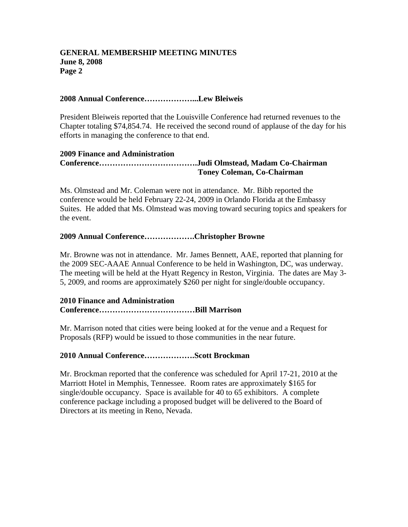### **2008 Annual Conference………………...Lew Bleiweis**

President Bleiweis reported that the Louisville Conference had returned revenues to the Chapter totaling \$74,854.74. He received the second round of applause of the day for his efforts in managing the conference to that end.

### **2009 Finance and Administration Conference……………………………….Judi Olmstead, Madam Co-Chairman Toney Coleman, Co-Chairman**

Ms. Olmstead and Mr. Coleman were not in attendance. Mr. Bibb reported the conference would be held February 22-24, 2009 in Orlando Florida at the Embassy Suites. He added that Ms. Olmstead was moving toward securing topics and speakers for the event.

## **2009 Annual Conference……………….Christopher Browne**

Mr. Browne was not in attendance. Mr. James Bennett, AAE, reported that planning for the 2009 SEC-AAAE Annual Conference to be held in Washington, DC, was underway. The meeting will be held at the Hyatt Regency in Reston, Virginia. The dates are May 3- 5, 2009, and rooms are approximately \$260 per night for single/double occupancy.

# **2010 Finance and Administration Conference………………………………Bill Marrison**

Mr. Marrison noted that cities were being looked at for the venue and a Request for Proposals (RFP) would be issued to those communities in the near future.

#### **2010 Annual Conference……………….Scott Brockman**

Mr. Brockman reported that the conference was scheduled for April 17-21, 2010 at the Marriott Hotel in Memphis, Tennessee. Room rates are approximately \$165 for single/double occupancy. Space is available for 40 to 65 exhibitors. A complete conference package including a proposed budget will be delivered to the Board of Directors at its meeting in Reno, Nevada.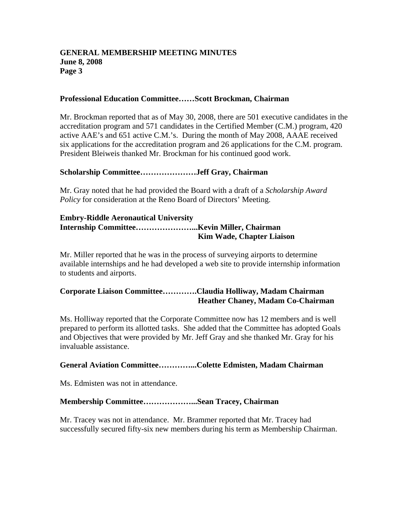### **Professional Education Committee……Scott Brockman, Chairman**

Mr. Brockman reported that as of May 30, 2008, there are 501 executive candidates in the accreditation program and 571 candidates in the Certified Member (C.M.) program, 420 active AAE's and 651 active C.M.'s. During the month of May 2008, AAAE received six applications for the accreditation program and 26 applications for the C.M. program. President Bleiweis thanked Mr. Brockman for his continued good work.

## **Scholarship Committee…………………Jeff Gray, Chairman**

Mr. Gray noted that he had provided the Board with a draft of a *Scholarship Award Policy* for consideration at the Reno Board of Directors' Meeting.

#### **Embry-Riddle Aeronautical University Internship Committee…………………...Kevin Miller, Chairman Kim Wade, Chapter Liaison**

Mr. Miller reported that he was in the process of surveying airports to determine available internships and he had developed a web site to provide internship information to students and airports.

## **Corporate Liaison Committee………….Claudia Holliway, Madam Chairman Heather Chaney, Madam Co-Chairman**

Ms. Holliway reported that the Corporate Committee now has 12 members and is well prepared to perform its allotted tasks. She added that the Committee has adopted Goals and Objectives that were provided by Mr. Jeff Gray and she thanked Mr. Gray for his invaluable assistance.

#### **General Aviation Committee…………...Colette Edmisten, Madam Chairman**

Ms. Edmisten was not in attendance.

## **Membership Committee………………...Sean Tracey, Chairman**

Mr. Tracey was not in attendance. Mr. Brammer reported that Mr. Tracey had successfully secured fifty-six new members during his term as Membership Chairman.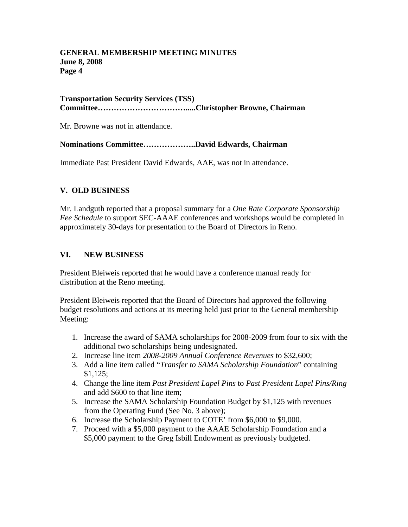## **Transportation Security Services (TSS) Committee…………………………….....Christopher Browne, Chairman**

Mr. Browne was not in attendance.

## **Nominations Committee………………..David Edwards, Chairman**

Immediate Past President David Edwards, AAE, was not in attendance.

## **V. OLD BUSINESS**

Mr. Landguth reported that a proposal summary for a *One Rate Corporate Sponsorship Fee Schedule* to support SEC-AAAE conferences and workshops would be completed in approximately 30-days for presentation to the Board of Directors in Reno.

# **VI. NEW BUSINESS**

President Bleiweis reported that he would have a conference manual ready for distribution at the Reno meeting.

President Bleiweis reported that the Board of Directors had approved the following budget resolutions and actions at its meeting held just prior to the General membership Meeting:

- 1. Increase the award of SAMA scholarships for 2008-2009 from four to six with the additional two scholarships being undesignated.
- 2. Increase line item *2008-2009 Annual Conference Revenues* to \$32,600;
- 3. Add a line item called "*Transfer to SAMA Scholarship Foundation*" containing \$1,125;
- 4. Change the line item *Past President Lapel Pins* to *Past President Lapel Pins/Ring* and add \$600 to that line item;
- 5. Increase the SAMA Scholarship Foundation Budget by \$1,125 with revenues from the Operating Fund (See No. 3 above);
- 6. Increase the Scholarship Payment to COTE' from \$6,000 to \$9,000.
- 7. Proceed with a \$5,000 payment to the AAAE Scholarship Foundation and a \$5,000 payment to the Greg Isbill Endowment as previously budgeted.